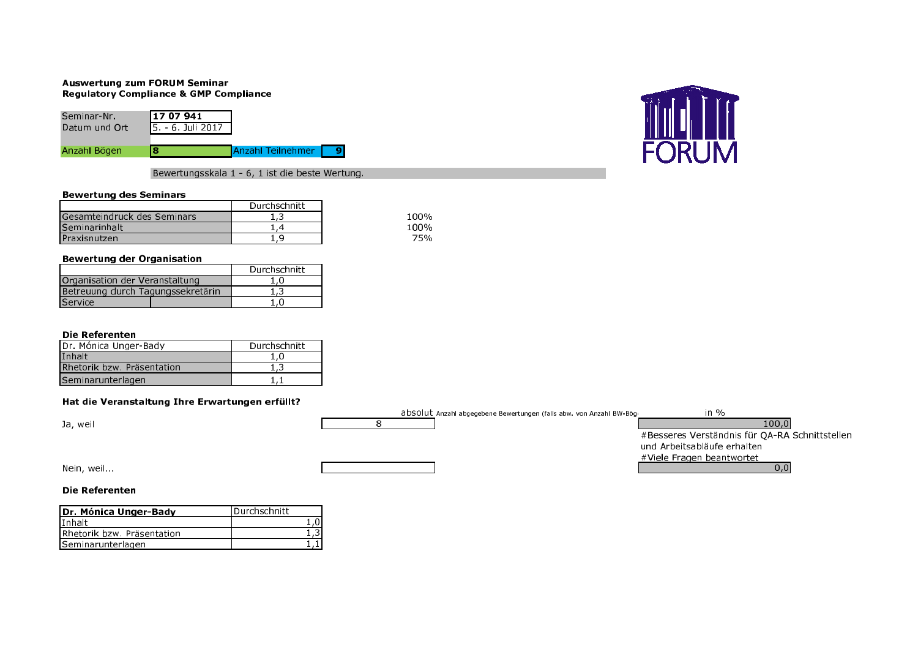## **Auswertung zum FORUM Seminar** Regulatory Compliance & GMP Compliance

| Seminar-Nr.   | 117 07 941                 |                          |  |
|---------------|----------------------------|--------------------------|--|
| Datum und Ort | <b>1</b> 5. - 6. Juli 2017 |                          |  |
|               |                            |                          |  |
| Anzahl Bögen  |                            | <b>Anzahl Teilnehmer</b> |  |



Bewertungsskala 1 - 6, 1 ist die beste Wertung.

## **Bewertung des Seminars**

|                             | Durchschnitt |
|-----------------------------|--------------|
| Gesamteindruck des Seminars | ر د          |
| <b>Seminarinhalt</b>        |              |
| <b>IPraxisnutzen</b>        |              |

## **Bewertung der Organisation**

|                                   | Durchschnitt |
|-----------------------------------|--------------|
| Organisation der Veranstaltung    | 1.0          |
| Betreuung durch Tagungssekretärin | 1.3          |
| Service                           | 1.0          |

# Die Referenten

| Dr. Mónica Unger-Bady      | Durchschnitt |
|----------------------------|--------------|
| Inhalt                     | 1.0          |
| Rhetorik bzw. Präsentation | 1.3          |
| Seminarunterlagen          |              |

# Hat die Veranstaltung Ihre Erwartungen erfüllt?

|            | absolut Anzahl abgegebene Bewertungen (falls abw. von Anzahl BW-Böge | in $\%$                                        |
|------------|----------------------------------------------------------------------|------------------------------------------------|
| Ja, weil   |                                                                      | 100,0                                          |
|            |                                                                      | #Besseres Verständnis für QA-RA Schnittstellen |
|            |                                                                      | und Arbeitsabläufe erhalten                    |
|            |                                                                      | #Viele Fragen beantwortet                      |
| Nein, weil |                                                                      | 0,0                                            |
|            |                                                                      |                                                |

100% 100% 75%

# Die Referenten

| Dr. Mónica Unger-Bady       | <b>IDurchschnitt</b> |  |
|-----------------------------|----------------------|--|
| lInhalt                     |                      |  |
| IRhetorik bzw. Präsentation |                      |  |
| <b>ISeminarunterlagen</b>   |                      |  |